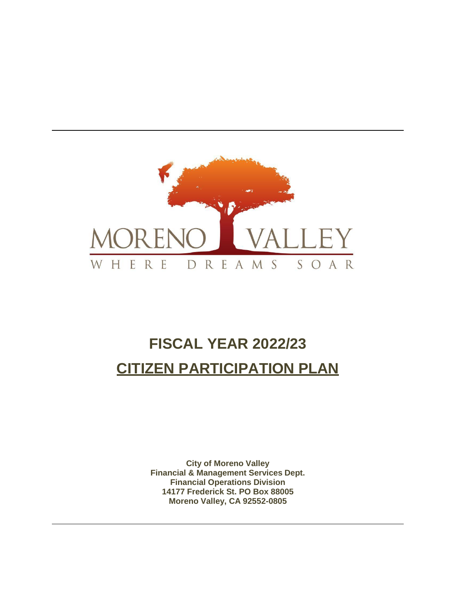

# **FISCAL YEAR 2022/23 CITIZEN PARTICIPATION PLAN**

**City of Moreno Valley Financial & Management Services Dept. Financial Operations Division 14177 Frederick St. PO Box 88005 Moreno Valley, CA 92552-0805**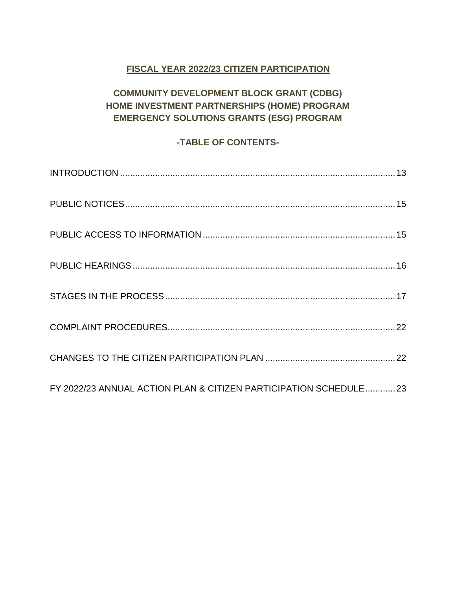# **FISCAL YEAR 2022/23 CITIZEN PARTICIPATION**

# **COMMUNITY DEVELOPMENT BLOCK GRANT (CDBG) HOME INVESTMENT PARTNERSHIPS (HOME) PROGRAM EMERGENCY SOLUTIONS GRANTS (ESG) PROGRAM**

# **-TABLE OF CONTENTS-**

| FY 2022/23 ANNUAL ACTION PLAN & CITIZEN PARTICIPATION SCHEDULE 23 |  |
|-------------------------------------------------------------------|--|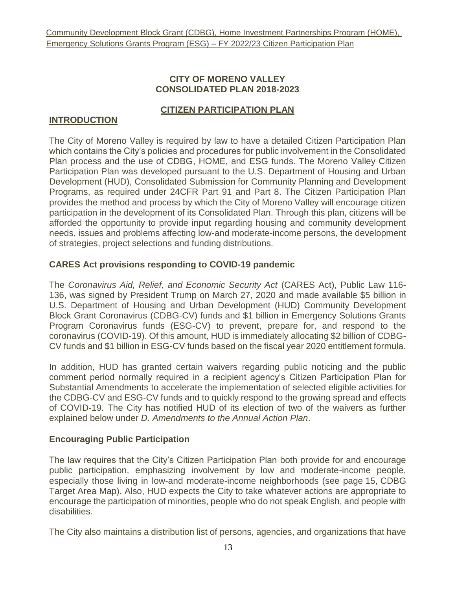#### **CITY OF MORENO VALLEY CONSOLIDATED PLAN 2018-2023**

#### **CITIZEN PARTICIPATION PLAN**

#### <span id="page-2-0"></span>**INTRODUCTION**

The City of Moreno Valley is required by law to have a detailed Citizen Participation Plan which contains the City's policies and procedures for public involvement in the Consolidated Plan process and the use of CDBG, HOME, and ESG funds. The Moreno Valley Citizen Participation Plan was developed pursuant to the U.S. Department of Housing and Urban Development (HUD), Consolidated Submission for Community Planning and Development Programs, as required under 24CFR Part 91 and Part 8. The Citizen Participation Plan provides the method and process by which the City of Moreno Valley will encourage citizen participation in the development of its Consolidated Plan. Through this plan, citizens will be afforded the opportunity to provide input regarding housing and community development needs, issues and problems affecting low-and moderate-income persons, the development of strategies, project selections and funding distributions.

## **CARES Act provisions responding to COVID-19 pandemic**

The *Coronavirus Aid, Relief, and Economic Security Act* (CARES Act), Public Law 116- 136, was signed by President Trump on March 27, 2020 and made available \$5 billion in U.S. Department of Housing and Urban Development (HUD) Community Development Block Grant Coronavirus (CDBG-CV) funds and \$1 billion in Emergency Solutions Grants Program Coronavirus funds (ESG-CV) to prevent, prepare for, and respond to the coronavirus (COVID-19). Of this amount, HUD is immediately allocating \$2 billion of CDBG-CV funds and \$1 billion in ESG-CV funds based on the fiscal year 2020 entitlement formula.

In addition, HUD has granted certain waivers regarding public noticing and the public comment period normally required in a recipient agency's Citizen Participation Plan for Substantial Amendments to accelerate the implementation of selected eligible activities for the CDBG-CV and ESG-CV funds and to quickly respond to the growing spread and effects of COVID-19. The City has notified HUD of its election of two of the waivers as further explained below under *D. Amendments to the Annual Action Plan*.

## **Encouraging Public Participation**

The law requires that the City's Citizen Participation Plan both provide for and encourage public participation, emphasizing involvement by low and moderate-income people, especially those living in low-and moderate-income neighborhoods (see page 15, CDBG Target Area Map). Also, HUD expects the City to take whatever actions are appropriate to encourage the participation of minorities, people who do not speak English, and people with disabilities.

The City also maintains a distribution list of persons, agencies, and organizations that have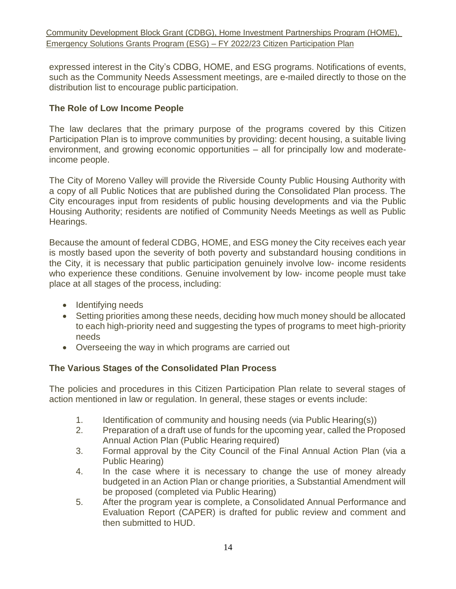expressed interest in the City's CDBG, HOME, and ESG programs. Notifications of events, such as the Community Needs Assessment meetings, are e-mailed directly to those on the distribution list to encourage public participation.

## **The Role of Low Income People**

The law declares that the primary purpose of the programs covered by this Citizen Participation Plan is to improve communities by providing: decent housing, a suitable living environment, and growing economic opportunities – all for principally low and moderateincome people.

The City of Moreno Valley will provide the Riverside County Public Housing Authority with a copy of all Public Notices that are published during the Consolidated Plan process. The City encourages input from residents of public housing developments and via the Public Housing Authority; residents are notified of Community Needs Meetings as well as Public Hearings.

Because the amount of federal CDBG, HOME, and ESG money the City receives each year is mostly based upon the severity of both poverty and substandard housing conditions in the City, it is necessary that public participation genuinely involve low- income residents who experience these conditions. Genuine involvement by low- income people must take place at all stages of the process, including:

- Identifying needs
- Setting priorities among these needs, deciding how much money should be allocated to each high-priority need and suggesting the types of programs to meet high-priority needs
- Overseeing the way in which programs are carried out

## **The Various Stages of the Consolidated Plan Process**

The policies and procedures in this Citizen Participation Plan relate to several stages of action mentioned in law or regulation. In general, these stages or events include:

- 1. Identification of community and housing needs (via Public Hearing(s))
- 2. Preparation of a draft use of funds for the upcoming year, called the Proposed Annual Action Plan (Public Hearing required)
- 3. Formal approval by the City Council of the Final Annual Action Plan (via a Public Hearing)
- 4. In the case where it is necessary to change the use of money already budgeted in an Action Plan or change priorities, a Substantial Amendment will be proposed (completed via Public Hearing)
- 5. After the program year is complete, a Consolidated Annual Performance and Evaluation Report (CAPER) is drafted for public review and comment and then submitted to HUD.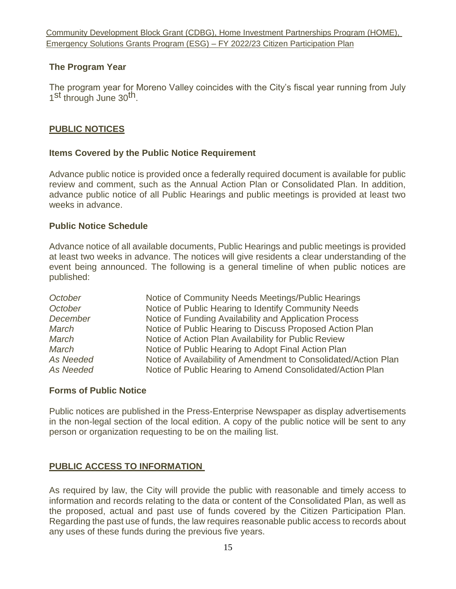## **The Program Year**

The program year for Moreno Valley coincides with the City's fiscal year running from July 1<sup>st</sup> through June 30<sup>th</sup>.

#### <span id="page-4-0"></span>**PUBLIC NOTICES**

#### **Items Covered by the Public Notice Requirement**

Advance public notice is provided once a federally required document is available for public review and comment, such as the Annual Action Plan or Consolidated Plan. In addition, advance public notice of all Public Hearings and public meetings is provided at least two weeks in advance.

#### **Public Notice Schedule**

Advance notice of all available documents, Public Hearings and public meetings is provided at least two weeks in advance. The notices will give residents a clear understanding of the event being announced. The following is a general timeline of when public notices are published:

| October   | Notice of Community Needs Meetings/Public Hearings              |
|-----------|-----------------------------------------------------------------|
| October   | Notice of Public Hearing to Identify Community Needs            |
| December  | Notice of Funding Availability and Application Process          |
| March     | Notice of Public Hearing to Discuss Proposed Action Plan        |
| March     | Notice of Action Plan Availability for Public Review            |
| March     | Notice of Public Hearing to Adopt Final Action Plan             |
| As Needed | Notice of Availability of Amendment to Consolidated/Action Plan |
| As Needed | Notice of Public Hearing to Amend Consolidated/Action Plan      |

#### **Forms of Public Notice**

Public notices are published in the Press-Enterprise Newspaper as display advertisements in the non-legal section of the local edition. A copy of the public notice will be sent to any person or organization requesting to be on the mailing list.

#### <span id="page-4-1"></span>**PUBLIC ACCESS TO INFORMATION**

As required by law, the City will provide the public with reasonable and timely access to information and records relating to the data or content of the Consolidated Plan, as well as the proposed, actual and past use of funds covered by the Citizen Participation Plan. Regarding the past use of funds, the law requires reasonable public access to records about any uses of these funds during the previous five years.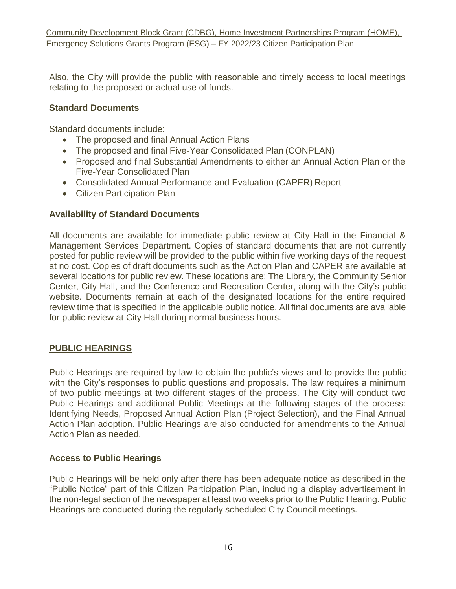Also, the City will provide the public with reasonable and timely access to local meetings relating to the proposed or actual use of funds.

## **Standard Documents**

Standard documents include:

- The proposed and final Annual Action Plans
- The proposed and final Five-Year Consolidated Plan (CONPLAN)
- Proposed and final Substantial Amendments to either an Annual Action Plan or the Five-Year Consolidated Plan
- Consolidated Annual Performance and Evaluation (CAPER) Report
- Citizen Participation Plan

## **Availability of Standard Documents**

All documents are available for immediate public review at City Hall in the Financial & Management Services Department. Copies of standard documents that are not currently posted for public review will be provided to the public within five working days of the request at no cost. Copies of draft documents such as the Action Plan and CAPER are available at several locations for public review. These locations are: The Library, the Community Senior Center, City Hall, and the Conference and Recreation Center, along with the City's public website. Documents remain at each of the designated locations for the entire required review time that is specified in the applicable public notice. All final documents are available for public review at City Hall during normal business hours.

## <span id="page-5-0"></span>**PUBLIC HEARINGS**

Public Hearings are required by law to obtain the public's views and to provide the public with the City's responses to public questions and proposals. The law requires a minimum of two public meetings at two different stages of the process. The City will conduct two Public Hearings and additional Public Meetings at the following stages of the process: Identifying Needs, Proposed Annual Action Plan (Project Selection), and the Final Annual Action Plan adoption. Public Hearings are also conducted for amendments to the Annual Action Plan as needed.

## **Access to Public Hearings**

Public Hearings will be held only after there has been adequate notice as described in the "Public Notice" part of this Citizen Participation Plan, including a display advertisement in the non-legal section of the newspaper at least two weeks prior to the Public Hearing. Public Hearings are conducted during the regularly scheduled City Council meetings.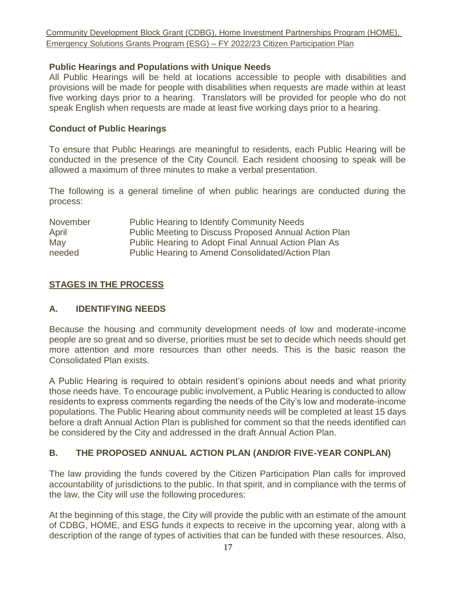#### **Public Hearings and Populations with Unique Needs**

All Public Hearings will be held at locations accessible to people with disabilities and provisions will be made for people with disabilities when requests are made within at least five working days prior to a hearing. Translators will be provided for people who do not speak English when requests are made at least five working days prior to a hearing.

#### **Conduct of Public Hearings**

To ensure that Public Hearings are meaningful to residents, each Public Hearing will be conducted in the presence of the City Council. Each resident choosing to speak will be allowed a maximum of three minutes to make a verbal presentation.

The following is a general timeline of when public hearings are conducted during the process:

| November | <b>Public Hearing to Identify Community Needs</b>     |
|----------|-------------------------------------------------------|
| April    | Public Meeting to Discuss Proposed Annual Action Plan |
| May      | Public Hearing to Adopt Final Annual Action Plan As   |
| needed   | Public Hearing to Amend Consolidated/Action Plan      |

## <span id="page-6-0"></span>**STAGES IN THE PROCESS**

## **A. IDENTIFYING NEEDS**

Because the housing and community development needs of low and moderate-income people are so great and so diverse, priorities must be set to decide which needs should get more attention and more resources than other needs. This is the basic reason the Consolidated Plan exists.

A Public Hearing is required to obtain resident's opinions about needs and what priority those needs have. To encourage public involvement, a Public Hearing is conducted to allow residents to express comments regarding the needs of the City's low and moderate-income populations. The Public Hearing about community needs will be completed at least 15 days before a draft Annual Action Plan is published for comment so that the needs identified can be considered by the City and addressed in the draft Annual Action Plan.

## **B. THE PROPOSED ANNUAL ACTION PLAN (AND/OR FIVE-YEAR CONPLAN)**

The law providing the funds covered by the Citizen Participation Plan calls for improved accountability of jurisdictions to the public. In that spirit, and in compliance with the terms of the law, the City will use the following procedures:

At the beginning of this stage, the City will provide the public with an estimate of the amount of CDBG, HOME, and ESG funds it expects to receive in the upcoming year, along with a description of the range of types of activities that can be funded with these resources. Also,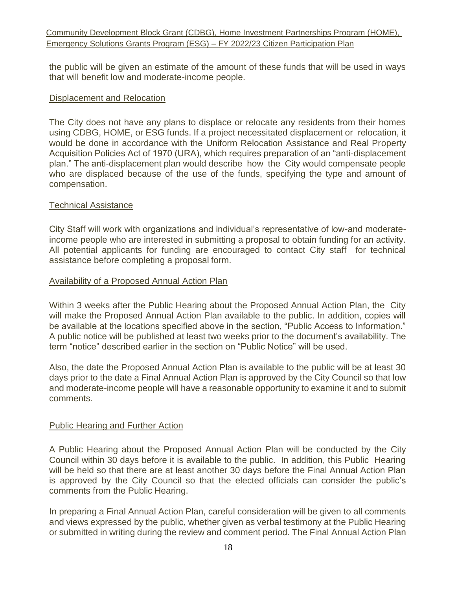the public will be given an estimate of the amount of these funds that will be used in ways that will benefit low and moderate-income people.

#### Displacement and Relocation

The City does not have any plans to displace or relocate any residents from their homes using CDBG, HOME, or ESG funds. If a project necessitated displacement or relocation, it would be done in accordance with the Uniform Relocation Assistance and Real Property Acquisition Policies Act of 1970 (URA), which requires preparation of an "anti-displacement plan." The anti-displacement plan would describe how the City would compensate people who are displaced because of the use of the funds, specifying the type and amount of compensation.

#### Technical Assistance

City Staff will work with organizations and individual's representative of low-and moderateincome people who are interested in submitting a proposal to obtain funding for an activity. All potential applicants for funding are encouraged to contact City staff for technical assistance before completing a proposal form.

#### Availability of a Proposed Annual Action Plan

Within 3 weeks after the Public Hearing about the Proposed Annual Action Plan, the City will make the Proposed Annual Action Plan available to the public. In addition, copies will be available at the locations specified above in the section, "Public Access to Information." A public notice will be published at least two weeks prior to the document's availability. The term "notice" described earlier in the section on "Public Notice" will be used.

Also, the date the Proposed Annual Action Plan is available to the public will be at least 30 days prior to the date a Final Annual Action Plan is approved by the City Council so that low and moderate-income people will have a reasonable opportunity to examine it and to submit comments.

#### Public Hearing and Further Action

A Public Hearing about the Proposed Annual Action Plan will be conducted by the City Council within 30 days before it is available to the public. In addition, this Public Hearing will be held so that there are at least another 30 days before the Final Annual Action Plan is approved by the City Council so that the elected officials can consider the public's comments from the Public Hearing.

In preparing a Final Annual Action Plan, careful consideration will be given to all comments and views expressed by the public, whether given as verbal testimony at the Public Hearing or submitted in writing during the review and comment period. The Final Annual Action Plan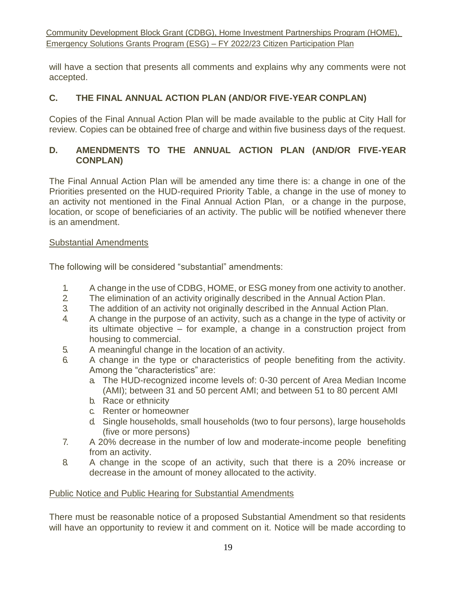will have a section that presents all comments and explains why any comments were not accepted.

# **C. THE FINAL ANNUAL ACTION PLAN (AND/OR FIVE-YEAR CONPLAN)**

Copies of the Final Annual Action Plan will be made available to the public at City Hall for review. Copies can be obtained free of charge and within five business days of the request.

## **D. AMENDMENTS TO THE ANNUAL ACTION PLAN (AND/OR FIVE-YEAR CONPLAN)**

The Final Annual Action Plan will be amended any time there is: a change in one of the Priorities presented on the HUD-required Priority Table, a change in the use of money to an activity not mentioned in the Final Annual Action Plan, or a change in the purpose, location, or scope of beneficiaries of an activity. The public will be notified whenever there is an amendment.

#### Substantial Amendments

The following will be considered "substantial" amendments:

- 1. A change in the use of CDBG, HOME, or ESG money from one activity to another.
- 2. The elimination of an activity originally described in the Annual Action Plan.
- 3. The addition of an activity not originally described in the Annual Action Plan.
- 4. A change in the purpose of an activity, such as a change in the type of activity or its ultimate objective – for example, a change in a construction project from housing to commercial.
- 5. A meaningful change in the location of an activity.
- 6. A change in the type or characteristics of people benefiting from the activity. Among the "characteristics" are:
	- a. The HUD-recognized income levels of: 0-30 percent of Area Median Income (AMI); between 31 and 50 percent AMI; and between 51 to 80 percent AMI
	- b. Race or ethnicity
	- c. Renter or homeowner
	- d. Single households, small households (two to four persons), large households (five or more persons)
- 7. A 20% decrease in the number of low and moderate-income people benefiting from an activity.
- 8. A change in the scope of an activity, such that there is a 20% increase or decrease in the amount of money allocated to the activity.

## Public Notice and Public Hearing for Substantial Amendments

There must be reasonable notice of a proposed Substantial Amendment so that residents will have an opportunity to review it and comment on it. Notice will be made according to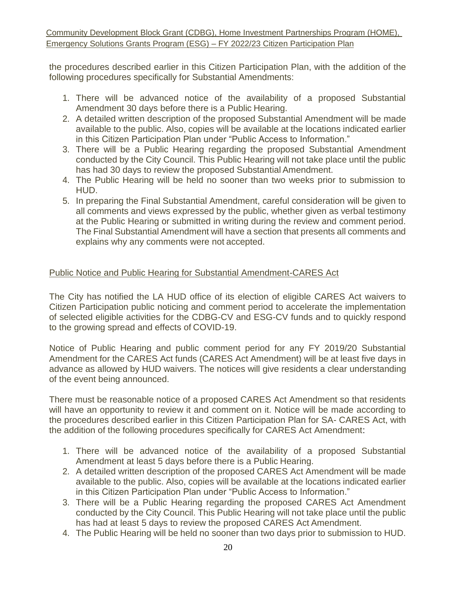the procedures described earlier in this Citizen Participation Plan, with the addition of the following procedures specifically for Substantial Amendments:

- 1. There will be advanced notice of the availability of a proposed Substantial Amendment 30 days before there is a Public Hearing.
- 2. A detailed written description of the proposed Substantial Amendment will be made available to the public. Also, copies will be available at the locations indicated earlier in this Citizen Participation Plan under "Public Access to Information."
- 3. There will be a Public Hearing regarding the proposed Substantial Amendment conducted by the City Council. This Public Hearing will not take place until the public has had 30 days to review the proposed Substantial Amendment.
- 4. The Public Hearing will be held no sooner than two weeks prior to submission to HUD.
- 5. In preparing the Final Substantial Amendment, careful consideration will be given to all comments and views expressed by the public, whether given as verbal testimony at the Public Hearing or submitted in writing during the review and comment period. The Final Substantial Amendment will have a section that presents all comments and explains why any comments were not accepted.

# Public Notice and Public Hearing for Substantial Amendment-CARES Act

The City has notified the LA HUD office of its election of eligible CARES Act waivers to Citizen Participation public noticing and comment period to accelerate the implementation of selected eligible activities for the CDBG-CV and ESG-CV funds and to quickly respond to the growing spread and effects of COVID-19.

Notice of Public Hearing and public comment period for any FY 2019/20 Substantial Amendment for the CARES Act funds (CARES Act Amendment) will be at least five days in advance as allowed by HUD waivers. The notices will give residents a clear understanding of the event being announced.

There must be reasonable notice of a proposed CARES Act Amendment so that residents will have an opportunity to review it and comment on it. Notice will be made according to the procedures described earlier in this Citizen Participation Plan for SA- CARES Act, with the addition of the following procedures specifically for CARES Act Amendment:

- 1. There will be advanced notice of the availability of a proposed Substantial Amendment at least 5 days before there is a Public Hearing.
- 2. A detailed written description of the proposed CARES Act Amendment will be made available to the public. Also, copies will be available at the locations indicated earlier in this Citizen Participation Plan under "Public Access to Information."
- 3. There will be a Public Hearing regarding the proposed CARES Act Amendment conducted by the City Council. This Public Hearing will not take place until the public has had at least 5 days to review the proposed CARES Act Amendment.
- 4. The Public Hearing will be held no sooner than two days prior to submission to HUD.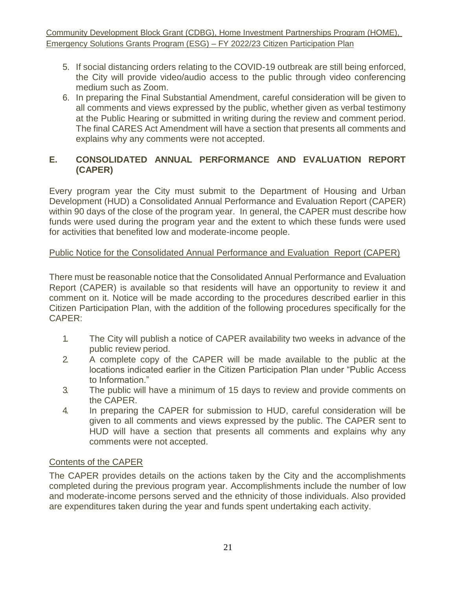- 5. If social distancing orders relating to the COVID-19 outbreak are still being enforced, the City will provide video/audio access to the public through video conferencing medium such as Zoom.
- 6. In preparing the Final Substantial Amendment, careful consideration will be given to all comments and views expressed by the public, whether given as verbal testimony at the Public Hearing or submitted in writing during the review and comment period. The final CARES Act Amendment will have a section that presents all comments and explains why any comments were not accepted.

# **E. CONSOLIDATED ANNUAL PERFORMANCE AND EVALUATION REPORT (CAPER)**

Every program year the City must submit to the Department of Housing and Urban Development (HUD) a Consolidated Annual Performance and Evaluation Report (CAPER) within 90 days of the close of the program year. In general, the CAPER must describe how funds were used during the program year and the extent to which these funds were used for activities that benefited low and moderate-income people.

# Public Notice for the Consolidated Annual Performance and Evaluation Report (CAPER)

There must be reasonable notice that the Consolidated Annual Performance and Evaluation Report (CAPER) is available so that residents will have an opportunity to review it and comment on it. Notice will be made according to the procedures described earlier in this Citizen Participation Plan, with the addition of the following procedures specifically for the CAPER:

- 1. The City will publish a notice of CAPER availability two weeks in advance of the public review period.
- 2. A complete copy of the CAPER will be made available to the public at the locations indicated earlier in the Citizen Participation Plan under "Public Access to Information."
- 3. The public will have a minimum of 15 days to review and provide comments on the CAPER.
- 4. In preparing the CAPER for submission to HUD, careful consideration will be given to all comments and views expressed by the public. The CAPER sent to HUD will have a section that presents all comments and explains why any comments were not accepted.

## Contents of the CAPER

The CAPER provides details on the actions taken by the City and the accomplishments completed during the previous program year. Accomplishments include the number of low and moderate-income persons served and the ethnicity of those individuals. Also provided are expenditures taken during the year and funds spent undertaking each activity.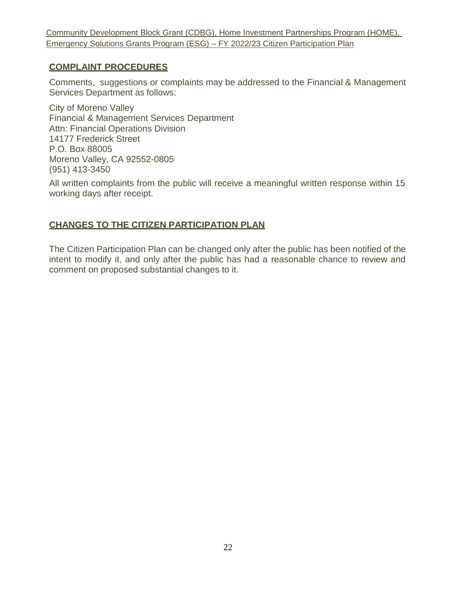## <span id="page-11-0"></span>**COMPLAINT PROCEDURES**

Comments, suggestions or complaints may be addressed to the Financial & Management Services Department as follows:

City of Moreno Valley Financial & Management Services Department Attn: Financial Operations Division 14177 Frederick Street P.O. Box 88005 Moreno Valley, CA 92552-0805 (951) 413-3450

All written complaints from the public will receive a meaningful written response within 15 working days after receipt.

# <span id="page-11-1"></span>**CHANGES TO THE CITIZEN PARTICIPATION PLAN**

The Citizen Participation Plan can be changed only after the public has been notified of the intent to modify it, and only after the public has had a reasonable chance to review and comment on proposed substantial changes to it.